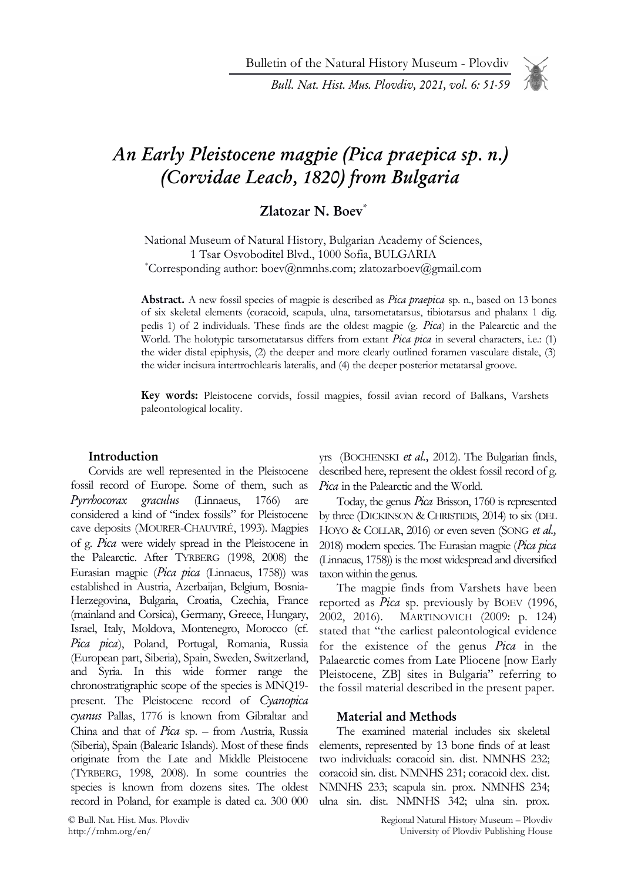Bulletin of the Natural History Museum - Plovdiv

Bull. Nat. Hist. Mus. Plovdiv, 2021, vol. 6: 51-59

# An Early Pleistocene magpie (Pica praepica sp. n.) (Corvidae Leach, 1820) from Bulgaria

## Zlatozar N. Boev\*

National Museum of Natural History, Bulgarian Academy of Sciences, 1 Tsar Osvoboditel Blvd., 1000 Sofia, BULGARIA \*Corresponding author: boev@nmnhs.com; zlatozarboev@gmail.com

Abstract. A new fossil species of magpie is described as *Pica praepica* sp. n., based on 13 bones of six skeletal elements (coracoid, scapula, ulna, tarsometatarsus, tibiotarsus and phalanx 1 dig. pedis 1) of 2 individuals. These finds are the oldest magpie (g. Pica) in the Palearctic and the World. The holotypic tarsometatarsus differs from extant Pica pica in several characters, i.e.: (1) the wider distal epiphysis, (2) the deeper and more clearly outlined foramen vasculare distale, (3) the wider incisura intertrochlearis lateralis, and (4) the deeper posterior metatarsal groove.

Key words: Pleistocene corvids, fossil magpies, fossil avian record of Balkans, Varshets paleontological locality.

#### Introduction

Corvids are well represented in the Pleistocene fossil record of Europe. Some of them, such as Pyrrhocorax graculus (Linnaeus, 1766) are considered a kind of "index fossils" for Pleistocene cave deposits (MOURER-CHAUVIRÉ, 1993). Magpies of g. Pica were widely spread in the Pleistocene in the Palearctic. After TYRBERG (1998, 2008) the Eurasian magpie (Pica pica (Linnaeus, 1758)) was established in Austria, Azerbaijan, Belgium, Bosnia-Herzegovina, Bulgaria, Croatia, Czechia, France (mainland and Corsica), Germany, Greece, Hungary, Israel, Italy, Moldova, Montenegro, Morocco (cf. Pica pica), Poland, Portugal, Romania, Russia (European part, Siberia), Spain, Sweden, Switzerland, and Syria. In this wide former range the chronostratigraphic scope of the species is MNQ19 present. The Pleistocene record of Cyanopica cyanus Pallas, 1776 is known from Gibraltar and China and that of Pica sp. – from Austria, Russia (Siberia), Spain (Balearic Islands). Most of these finds originate from the Late and Middle Pleistocene (TYRBERG, 1998, 2008). In some countries the species is known from dozens sites. The oldest record in Poland, for example is dated ca. 300 000

© Bull. Nat. Hist. Mus. Plovdiv http://rnhm.org/en/

yrs (BOCHENSKI et al., 2012). The Bulgarian finds, described here, represent the oldest fossil record of g. Pica in the Palearctic and the World.

Today, the genus *Pica* Brisson, 1760 is represented by three (DICKINSON & CHRISTIDIS, 2014) to six (DEL HOYO & COLLAR, 2016) or even seven (SONG et al., 2018) modern species. The Eurasian magpie (Pica pica (Linnaeus, 1758)) is the most widespread and diversified taxon within the genus.

The magpie finds from Varshets have been reported as *Pica* sp. previously by BOEV (1996, 2002, 2016). MARTINOVICH (2009: p. 124) stated that "the earliest paleontological evidence for the existence of the genus Pica in the Palaearctic comes from Late Pliocene [now Early Pleistocene, ZB] sites in Bulgaria" referring to the fossil material described in the present paper.

#### Material and Methods

The examined material includes six skeletal elements, represented by 13 bone finds of at least two individuals: coracoid sin. dist. NMNHS 232; coracoid sin. dist. NMNHS 231; coracoid dex. dist. NMNHS 233; scapula sin. prox. NMNHS 234; ulna sin. dist. NMNHS 342; ulna sin. prox.

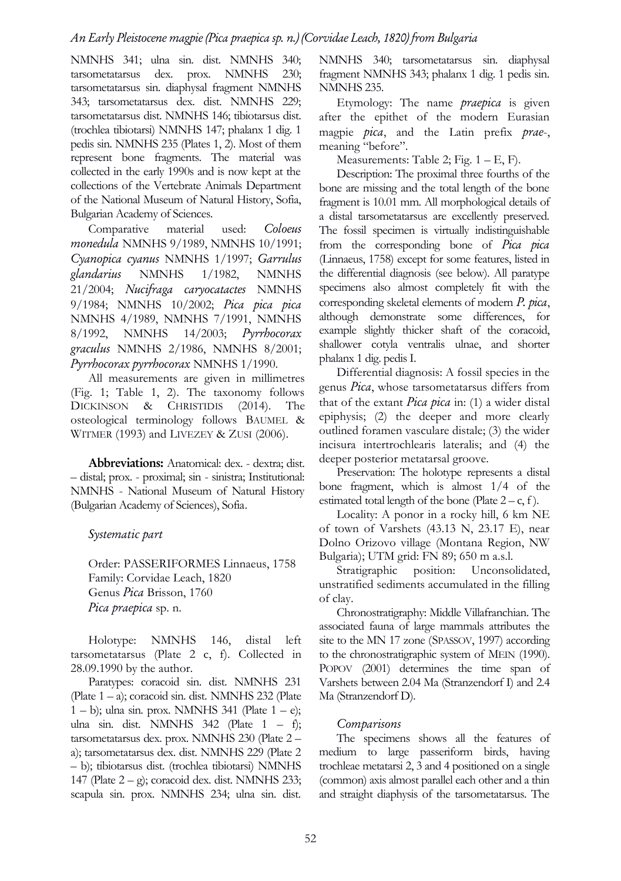NMNHS 341; ulna sin. dist. NMNHS 340; tarsometatarsus dex. prox. NMNHS 230; tarsometatarsus sin. diaphysal fragment NMNHS 343; tarsometatarsus dex. dist. NMNHS 229; tarsometatarsus dist. NMNHS 146; tibiotarsus dist. (trochlea tibiotarsi) NMNHS 147; phalanx 1 dig. 1 pedis sin. NMNHS 235 (Plates 1, 2). Most of them represent bone fragments. The material was collected in the early 1990s and is now kept at the collections of the Vertebrate Animals Department of the National Museum of Natural History, Sofia, Bulgarian Academy of Sciences.

Comparative material used: Coloeus monedula NMNHS 9/1989, NMNHS 10/1991; Cyanopica cyanus NMNHS 1/1997; Garrulus glandarius NMNHS 1/1982, NMNHS 21/2004; Nucifraga caryocatactes NMNHS 9/1984; NMNHS 10/2002; Pica pica pica NMNHS 4/1989, NMNHS 7/1991, NMNHS 8/1992, NMNHS 14/2003; Pyrrhocorax graculus NMNHS 2/1986, NMNHS 8/2001; Pyrrhocorax pyrrhocorax NMNHS 1/1990.

All measurements are given in millimetres (Fig. 1; Table 1, 2). The taxonomy follows DICKINSON & CHRISTIDIS (2014). The osteological terminology follows BAUMEL & WITMER (1993) and LIVEZEY & ZUSI (2006).

Abbreviations: Anatomical: dex. - dextra; dist. – distal; prox. - proximal; sin - sinistra; Institutional: NMNHS - National Museum of Natural History (Bulgarian Academy of Sciences), Sofia.

Systematic part

Order: PASSERIFORMES Linnaeus, 1758 Family: Corvidae Leach, 1820 Genus Pica Brisson, 1760 Pica praepica sp. n.

Holotype: NMNHS 146, distal left tarsometatarsus (Plate 2 c, f). Collected in 28.09.1990 by the author.

Paratypes: coracoid sin. dist. NMNHS 231 (Plate 1 – a); coracoid sin. dist. NMNHS 232 (Plate  $(1 - b)$ ; ulna sin. prox. NMNHS 341 (Plate  $(1 - e)$ ; ulna sin. dist. NMNHS  $342$  (Plate  $1 - f$ ); tarsometatarsus dex. prox. NMNHS 230 (Plate 2 – a); tarsometatarsus dex. dist. NMNHS 229 (Plate 2 – b); tibiotarsus dist. (trochlea tibiotarsi) NMNHS 147 (Plate  $2 - g$ ); coracoid dex. dist. NMNHS 233; scapula sin. prox. NMNHS 234; ulna sin. dist. NMNHS 340; tarsometatarsus sin. diaphysal fragment NMNHS 343; phalanx 1 dig. 1 pedis sin. NMNHS 235.

Etymology: The name praepica is given after the epithet of the modern Eurasian magpie *pica*, and the Latin prefix *prae*-, meaning "before".

Measurements: Table 2; Fig.  $1 - E$ , F).

Description: The proximal three fourths of the bone are missing and the total length of the bone fragment is 10.01 mm. All morphological details of a distal tarsometatarsus are excellently preserved. The fossil specimen is virtually indistinguishable from the corresponding bone of Pica pica (Linnaeus, 1758) except for some features, listed in the differential diagnosis (see below). All paratype specimens also almost completely fit with the corresponding skeletal elements of modern P. pica, although demonstrate some differences, for example slightly thicker shaft of the coracoid, shallower cotyla ventralis ulnae, and shorter phalanx 1 dig. pedis I.

Differential diagnosis: A fossil species in the genus Pica, whose tarsometatarsus differs from that of the extant *Pica pica* in:  $(1)$  a wider distal epiphysis; (2) the deeper and more clearly outlined foramen vasculare distale; (3) the wider incisura intertrochlearis lateralis; and (4) the deeper posterior metatarsal groove.

Preservation: The holotype represents a distal bone fragment, which is almost 1/4 of the estimated total length of the bone (Plate  $2 - c$ , f).

Locality: A ponor in a rocky hill, 6 km NE of town of Varshets (43.13 N, 23.17 E), near Dolno Orizovo village (Montana Region, NW Bulgaria); UTM grid: FN 89; 650 m a.s.l.

Stratigraphic position: Unconsolidated, unstratified sediments accumulated in the filling of clay.

Chronostratigraphy: Middle Villafranchian. The associated fauna of large mammals attributes the site to the MN 17 zone (SPASSOV, 1997) according to the chronostratigraphic system of MEIN (1990). POPOV (2001) determines the time span of Varshets between 2.04 Ma (Stranzendorf I) and 2.4 Ma (Stranzendorf D).

#### Comparisons

The specimens shows all the features of medium to large passeriform birds, having trochleae metatarsi 2, 3 and 4 positioned on a single (common) axis almost parallel each other and a thin and straight diaphysis of the tarsometatarsus. The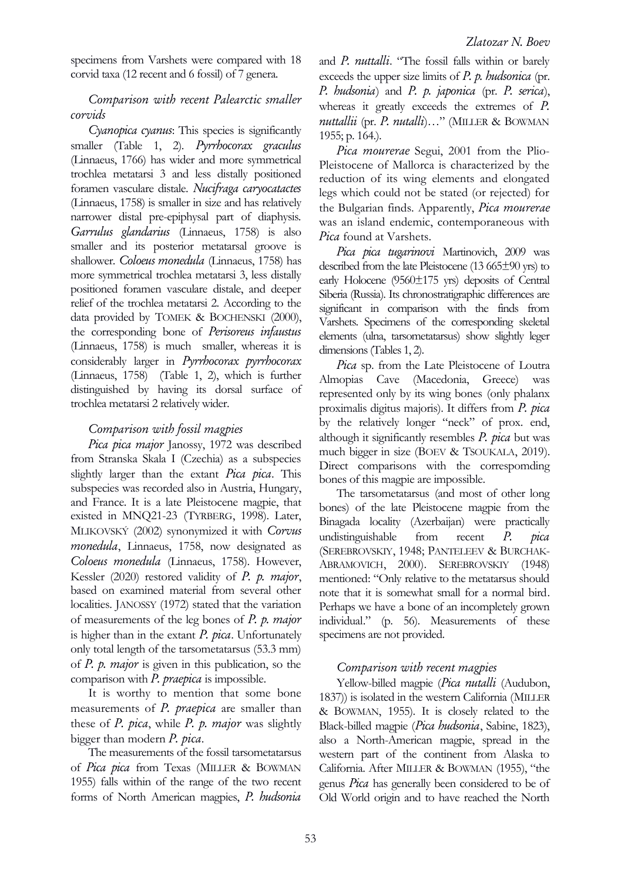specimens from Varshets were compared with 18 corvid taxa (12 recent and 6 fossil) of 7 genera.

#### Comparison with recent Palearctic smaller corvids

Cyanopica cyanus: This species is significantly smaller (Table 1, 2). Pyrrhocorax graculus (Linnaeus, 1766) has wider and more symmetrical trochlea metatarsi 3 and less distally positioned foramen vasculare distale. Nucifraga caryocatactes (Linnaeus, 1758) is smaller in size and has relatively narrower distal pre-epiphysal part of diaphysis. Garrulus glandarius (Linnaeus, 1758) is also smaller and its posterior metatarsal groove is shallower. Coloeus monedula (Linnaeus, 1758) has more symmetrical trochlea metatarsi 3, less distally positioned foramen vasculare distale, and deeper relief of the trochlea metatarsi 2. According to the data provided by TOMEK & BOCHENSKI (2000), the corresponding bone of Perisoreus infaustus (Linnaeus, 1758) is much smaller, whereas it is considerably larger in Pyrrhocorax pyrrhocorax (Linnaeus, 1758) (Table 1, 2), which is further distinguished by having its dorsal surface of trochlea metatarsi 2 relatively wider.

#### Comparison with fossil magpies

Pica pica major Janossy, 1972 was described from Stranska Skala I (Czechia) as a subspecies slightly larger than the extant *Pica pica*. This subspecies was recorded also in Austria, Hungary, and France. It is a late Pleistocene magpie, that existed in MNQ21-23 (TYRBERG, 1998). Later, MLIKOVSKÝ (2002) synonymized it with Corvus monedula, Linnaeus, 1758, now designated as Coloeus monedula (Linnaeus, 1758). However, Kessler (2020) restored validity of P. p. major, based on examined material from several other localities. JANOSSY (1972) stated that the variation of measurements of the leg bones of P. p. major is higher than in the extant  $P$ . pica. Unfortunately only total length of the tarsometatarsus (53.3 mm) of  $P$ .  $p$ . *major* is given in this publication, so the comparison with  $P$ . praepica is impossible.

It is worthy to mention that some bone measurements of *P. praepica* are smaller than these of  $P$ . pica, while  $P$ . p. major was slightly bigger than modern P. pica.

The measurements of the fossil tarsometatarsus of Pica pica from Texas (MILLER & BOWMAN 1955) falls within of the range of the two recent forms of North American magpies, P. hudsonia and P. nuttalli. "The fossil falls within or barely exceeds the upper size limits of  $P$ .  $p$ . hudsonica (pr. P. hudsonia) and P. p. japonica (pr. P. serica), whereas it greatly exceeds the extremes of P. nuttallii (pr. P. nutalli)..." (MILLER & BOWMAN 1955; p. 164.).

Pica mourerae Segui, 2001 from the Plio-Pleistocene of Mallorca is characterized by the reduction of its wing elements and elongated legs which could not be stated (or rejected) for the Bulgarian finds. Apparently, Pica mourerae was an island endemic, contemporaneous with Pica found at Varshets.

Pica pica tugarinovi Martinovich, 2009 was described from the late Pleistocene (13 665±90 yrs) to early Holocene (9560±175 yrs) deposits of Central Siberia (Russia). Its chronostratigraphic differences are significant in comparison with the finds from Varshets. Specimens of the corresponding skeletal elements (ulna, tarsometatarsus) show slightly leger dimensions (Tables 1, 2).

Pica sp. from the Late Pleistocene of Loutra Almopias Cave (Macedonia, Greece) was represented only by its wing bones (only phalanx proximalis digitus majoris). It differs from P. pica by the relatively longer "neck" of prox. end, although it significantly resembles  $P$ , pica but was much bigger in size (BOEV & TSOUKALA, 2019). Direct comparisons with the correspomding bones of this magpie are impossible.

The tarsometatarsus (and most of other long bones) of the late Pleistocene magpie from the Binagada locality (Azerbaijan) were practically undistinguishable from recent P. pica (SEREBROVSKIY, 1948; PANTELEEV & BURCHAK-ABRAMOVICH, 2000). SEREBROVSKIY (1948) mentioned: "Only relative to the metatarsus should note that it is somewhat small for a normal bird. Perhaps we have a bone of an incompletely grown individual." (p. 56). Measurements of these specimens are not provided.

#### Comparison with recent magpies

Yellow-billed magpie (Pica nutalli (Audubon, 1837)) is isolated in the western California (MILLER & BOWMAN, 1955). It is closely related to the Black-billed magpie (Pica hudsonia, Sabine, 1823), also a North-American magpie, spread in the western part of the continent from Alaska to California. After MILLER & BOWMAN (1955), "the genus Pica has generally been considered to be of Old World origin and to have reached the North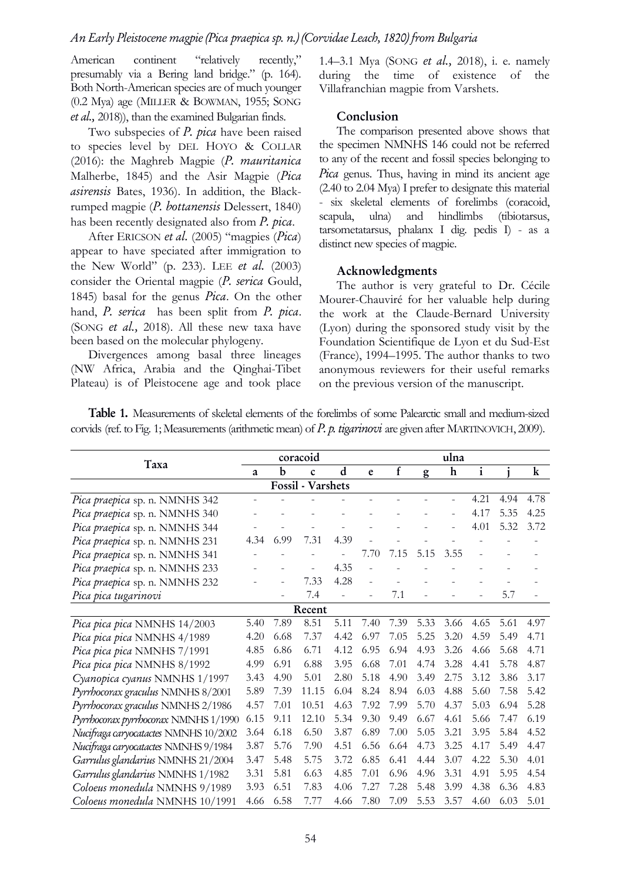American continent "relatively recently," presumably via a Bering land bridge." (p. 164). Both North-American species are of much younger (0.2 Mya) age (MILLER & BOWMAN, 1955; SONG et al., 2018)), than the examined Bulgarian finds.

Two subspecies of *P. pica* have been raised to species level by DEL HOYO & COLLAR  $(2016)$ : the Maghreb Magpie  $(P.$  mauritanica Malherbe, 1845) and the Asir Magpie (Pica asirensis Bates, 1936). In addition, the Blackrumped magpie (P. bottanensis Delessert, 1840) has been recently designated also from *P. pica*.

After ERICSON et al. (2005) "magpies (Pica) appear to have speciated after immigration to the New World" (p. 233). LEE et al. (2003) consider the Oriental magpie (P. serica Gould, 1845) basal for the genus  $Pic$ a. On the other hand, P. serica has been split from P. pica. (SONG et al., 2018). All these new taxa have been based on the molecular phylogeny.

Divergences among basal three lineages (NW Africa, Arabia and the Qinghai-Tibet Plateau) is of Pleistocene age and took place

1.4–3.1 Mya (SONG et al., 2018), i. e. namely during the time of existence of the Villafranchian magpie from Varshets.

#### Conclusion

The comparison presented above shows that the specimen NMNHS 146 could not be referred to any of the recent and fossil species belonging to Pica genus. Thus, having in mind its ancient age (2.40 to 2.04 Mya) I prefer to designate this material - six skeletal elements of forelimbs (coracoid, scapula, ulna) and hindlimbs (tibiotarsus, tarsometatarsus, phalanx I dig. pedis I) - as a distinct new species of magpie.

#### Acknowledgments

The author is very grateful to Dr. Cécile Mourer-Chauviré for her valuable help during the work at the Claude-Bernard University (Lyon) during the sponsored study visit by the Foundation Scientifique de Lyon et du Sud-Est (France), 1994–1995. The author thanks to two anonymous reviewers for their useful remarks on the previous version of the manuscript.

Table 1. Measurements of skeletal elements of the forelimbs of some Palearctic small and medium-sized corvids (ref. to Fig. 1; Measurements (arithmetic mean) of P. p. tigarinovi are given after MARTINOVICH, 2009).

| Taxa                                  |      |      | coracoid    | ulna |      |      |      |             |              |      |         |  |
|---------------------------------------|------|------|-------------|------|------|------|------|-------------|--------------|------|---------|--|
|                                       | a    | b    | $\mathbf c$ | d    | e    | f    | g    | $\mathbf h$ | $\mathbf{i}$ |      | $\bf k$ |  |
| Fossil - Varshets                     |      |      |             |      |      |      |      |             |              |      |         |  |
| Pica praepica sp. n. NMNHS 342        |      |      |             |      |      |      |      |             | 4.21         | 4.94 | 4.78    |  |
| Pica praepica sp. n. NMNHS 340        |      |      |             |      |      |      |      |             | 4.17         | 5.35 | 4.25    |  |
| Pica praepica sp. n. NMNHS 344        |      |      |             |      |      |      |      |             | 4.01         | 5.32 | 3.72    |  |
| Pica praepica sp. n. NMNHS 231        | 4.34 | 6.99 | 7.31        | 4.39 |      |      |      |             |              |      |         |  |
| Pica praepica sp. n. NMNHS 341        |      |      |             |      | 7.70 | 7.15 | 5.15 | 3.55        | L,           |      |         |  |
| Pica praepica sp. n. NMNHS 233        |      |      |             | 4.35 |      |      |      |             |              |      |         |  |
| Pica praepica sp. n. NMNHS 232        |      |      | 7.33        | 4.28 |      |      |      |             |              |      |         |  |
| Pica pica tugarinovi                  |      |      | 7.4         |      |      | 7.1  |      |             |              | 5.7  |         |  |
| Recent                                |      |      |             |      |      |      |      |             |              |      |         |  |
| Pica pica pica NMNHS 14/2003          | 5.40 | 7.89 | 8.51        | 5.11 | 7.40 | 7.39 | 5.33 | 3.66        | 4.65         | 5.61 | 4.97    |  |
| Pica pica pica NMNHS 4/1989           | 4.20 | 6.68 | 7.37        | 4.42 | 6.97 | 7.05 | 5.25 | 3.20        | 4.59         | 5.49 | 4.71    |  |
| Pica pica pica NMNHS 7/1991           | 4.85 | 6.86 | 6.71        | 4.12 | 6.95 | 6.94 | 4.93 | 3.26        | 4.66         | 5.68 | 4.71    |  |
| Pica pica pica NMNHS 8/1992           | 4.99 | 6.91 | 6.88        | 3.95 | 6.68 | 7.01 | 4.74 | 3.28        | 4.41         | 5.78 | 4.87    |  |
| Cyanopica cyanus NMNHS 1/1997         | 3.43 | 4.90 | 5.01        | 2.80 | 5.18 | 4.90 | 3.49 | 2.75        | 3.12         | 3.86 | 3.17    |  |
| Pyrrhocorax graculus NMNHS 8/2001     | 5.89 | 7.39 | 11.15       | 6.04 | 8.24 | 8.94 | 6.03 | 4.88        | 5.60         | 7.58 | 5.42    |  |
| Pyrrhocorax graculus NMNHS 2/1986     | 4.57 | 7.01 | 10.51       | 4.63 | 7.92 | 7.99 | 5.70 | 4.37        | 5.03         | 6.94 | 5.28    |  |
| Pyrrhocorax pyrrhocorax NMNHS 1/1990  | 6.15 | 9.11 | 12.10       | 5.34 | 9.30 | 9.49 | 6.67 | 4.61        | 5.66         | 7.47 | 6.19    |  |
| Nucifraga caryocatactes NMNHS 10/2002 | 3.64 | 6.18 | 6.50        | 3.87 | 6.89 | 7.00 | 5.05 | 3.21        | 3.95         | 5.84 | 4.52    |  |
| Nucifraga caryocatactes NMNHS 9/1984  | 3.87 | 5.76 | 7.90        | 4.51 | 6.56 | 6.64 | 4.73 | 3.25        | 4.17         | 5.49 | 4.47    |  |
| Garrulus glandarius NMNHS 21/2004     | 3.47 | 5.48 | 5.75        | 3.72 | 6.85 | 6.41 | 4.44 | 3.07        | 4.22         | 5.30 | 4.01    |  |
| Garrulus glandarius NMNHS 1/1982      | 3.31 | 5.81 | 6.63        | 4.85 | 7.01 | 6.96 | 4.96 | 3.31        | 4.91         | 5.95 | 4.54    |  |
| Coloeus monedula NMNHS 9/1989         | 3.93 | 6.51 | 7.83        | 4.06 | 7.27 | 7.28 | 5.48 | 3.99        | 4.38         | 6.36 | 4.83    |  |
| Coloeus monedula NMNHS 10/1991        | 4.66 | 6.58 | 7.77        | 4.66 | 7.80 | 7.09 | 5.53 | 3.57        | 4.60         | 6.03 | 5.01    |  |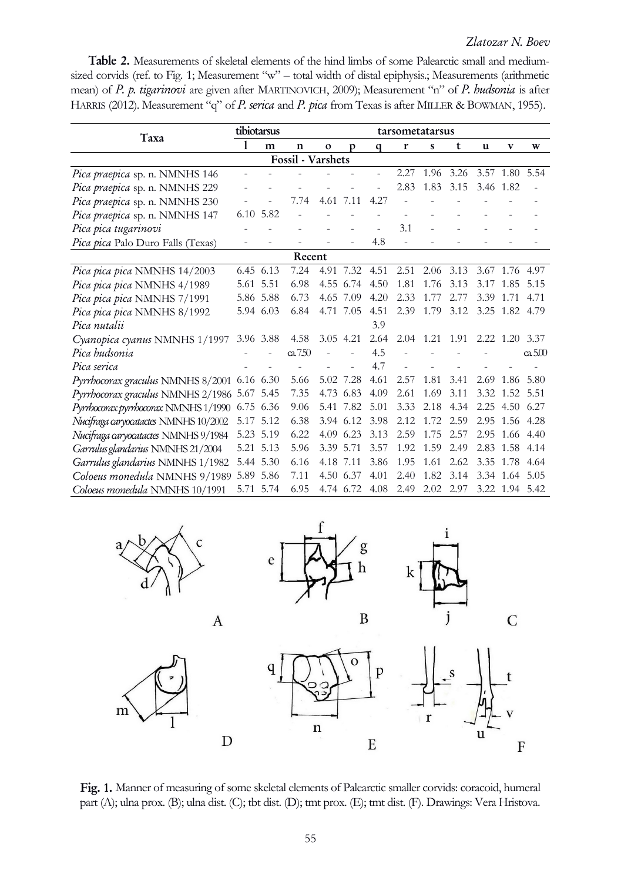Table 2. Measurements of skeletal elements of the hind limbs of some Palearctic small and mediumsized corvids (ref. to Fig. 1; Measurement "w" – total width of distal epiphysis.; Measurements (arithmetic mean) of P. p. tigarinovi are given after MARTINOVICH, 2009); Measurement "n" of P. hudsonia is after HARRIS (2012). Measurement "q" of P. serica and P. pica from Texas is after MILLER & BOWMAN, 1955).

| Taxa                                        | tibiotarsus |           |          |             | tarsometatarsus |      |      |      |      |           |                   |        |
|---------------------------------------------|-------------|-----------|----------|-------------|-----------------|------|------|------|------|-----------|-------------------|--------|
|                                             |             | m         | n        | $\mathbf 0$ | p               | q    | r    | S    | t    | u         | v                 | W      |
| <b>Fossil</b> - Varshets                    |             |           |          |             |                 |      |      |      |      |           |                   |        |
| Pica praepica sp. n. NMNHS 146              |             |           |          |             |                 |      | 2.27 | 1.96 | 3.26 |           | 3.57 1.80         | 5.54   |
| Pica praepica sp. n. NMNHS 229              |             |           |          |             |                 |      | 2.83 | 1.83 | 3.15 | 3.46 1.82 |                   |        |
| Pica praepica sp. n. NMNHS 230              |             |           | 7.74     | 4.61        | 7.11            | 4.27 |      |      |      |           |                   |        |
| Pica praepica sp. n. NMNHS 147              |             | 6.10 5.82 |          |             |                 |      |      |      |      |           |                   |        |
| Pica pica tugarinovi                        |             |           |          |             |                 |      | 3.1  |      |      |           |                   |        |
| Pica pica Palo Duro Falls (Texas)           |             |           |          |             |                 | 4.8  |      |      |      |           |                   |        |
| Recent                                      |             |           |          |             |                 |      |      |      |      |           |                   |        |
| Pica pica pica NMNHS 14/2003                |             | 6.45 6.13 | 7.24     |             | 4.91 7.32       | 4.51 | 2.51 | 2.06 | 3.13 |           | 3.67 1.76         | 4.97   |
| Pica pica pica NMNHS 4/1989                 |             | 5.61 5.51 | 6.98     | 4.55        | 6.74            | 4.50 | 1.81 | 1.76 | 3.13 | 3.17      | 1.85              | 5.15   |
| Pica pica pica NMNHS 7/1991                 |             | 5.86 5.88 | 6.73     | 4.65        | 7.09            | 4.20 | 2.33 | 1.77 | 2.77 | 3.39      | 1.71              | 4.71   |
| Pica pica pica NMNHS 8/1992                 |             | 5.94 6.03 | 6.84     | 4.71        | 7.05            | 4.51 | 2.39 | 1.79 | 3.12 |           | 3.25 1.82 4.79    |        |
| Pica nutalii                                |             |           |          |             |                 | 3.9  |      |      |      |           |                   |        |
| Cyanopica cyanus NMNHS 1/1997 3.96 3.88     |             |           | 4.58     | 3.05        | 4.21            | 2.64 | 2.04 | 1.21 | 1.91 |           | $2.22 \quad 1.20$ | 3.37   |
| Pica hudsonia                               |             |           | ca $750$ |             |                 | 4.5  |      |      |      |           |                   | ca.500 |
| Pica serica                                 |             |           |          |             |                 | 4.7  |      |      |      |           |                   |        |
| Pyrrhocorax graculus NMNHS 8/2001 6.16 6.30 |             |           | 5.66     |             | 5.02 7.28       | 4.61 | 2.57 | 1.81 | 3.41 |           | 2.69 1.86         | 5.80   |
| Pyrrhocorax graculus NMNHS 2/1986 5.67 5.45 |             |           | 7.35     | 4.73        | 6.83            | 4.09 | 2.61 | 1.69 | 3.11 |           | 3.32 1.52         | 5.51   |
| Pyrrhocorax pyrrhocorax NMNHS 1/1990        | 6.75 6.36   |           | 9.06     | 5.41        | 7.82            | 5.01 | 3.33 | 2.18 | 4.34 |           | 2.25 4.50 6.27    |        |
| Nucifraga caryocatactes NMNHS 10/2002       |             | 5.17 5.12 | 6.38     | 3.94        | 6.12            | 3.98 | 2.12 | 1.72 | 2.59 | 2.95      | 1.56              | 4.28   |
| Nucifraga caryocatactes NMNHS 9/1984        |             | 5.23 5.19 | 6.22     | 4.09        | 6.23            | 3.13 | 2.59 | 1.75 | 2.57 |           | 2.95 1.66         | 4.40   |
| Garrulus glandarius NMNHS 21/2004           |             | 5.21 5.13 | 5.96     | 3.39        | 5.71            | 3.57 | 1.92 | 1.59 | 2.49 | 2.83      | 1.58              | 4.14   |
| Garrulus glandarius NMNHS 1/1982            |             | 5.44 5.30 | 6.16     | 4.18        | 7.11            | 3.86 | 1.95 | 1.61 | 2.62 | 3.35      | 1.78              | 4.64   |
| Coloeus monedula NMNHS 9/1989               |             | 5.89 5.86 | 7.11     | 4.50        | 6.37            | 4.01 | 2.40 | 1.82 | 3.14 |           | 3.34 1.64         | 5.05   |
| Coloeus monedula NMNHS 10/1991              |             | 5.71 5.74 | 6.95     |             | 4.74 6.72       | 4.08 | 2.49 | 2.02 | 2.97 |           | 3.22 1.94 5.42    |        |



Fig. 1. Manner of measuring of some skeletal elements of Palearctic smaller corvids: coracoid, humeral part (A); ulna prox. (B); ulna dist. (C); tbt dist. (D); tmt prox. (E); tmt dist. (F). Drawings: Vera Hristova.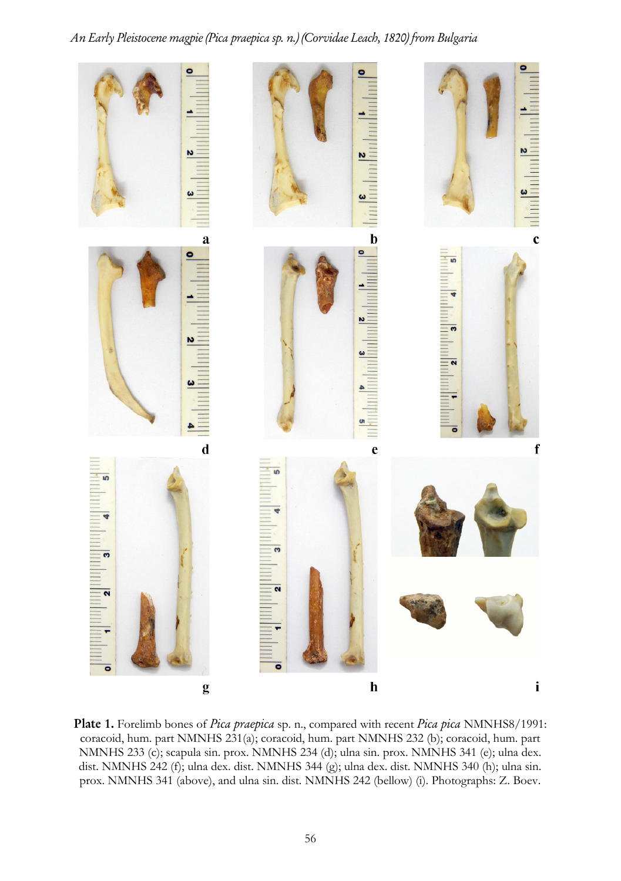### An Early Pleistocene magpie (Pica praepica sp. n.) (Corvidae Leach, 1820) from Bulgaria



Plate 1. Forelimb bones of Pica praepica sp. n., compared with recent Pica pica NMNHS8/1991: coracoid, hum. part NMNHS 231(a); coracoid, hum. part NMNHS 232 (b); coracoid, hum. part NMNHS 233 (c); scapula sin. prox. NMNHS 234 (d); ulna sin. prox. NMNHS 341 (e); ulna dex. dist. NMNHS 242 (f); ulna dex. dist. NMNHS 344 (g); ulna dex. dist. NMNHS 340 (h); ulna sin. prox. NMNHS 341 (above), and ulna sin. dist. NMNHS 242 (bellow) (i). Photographs: Z. Boev.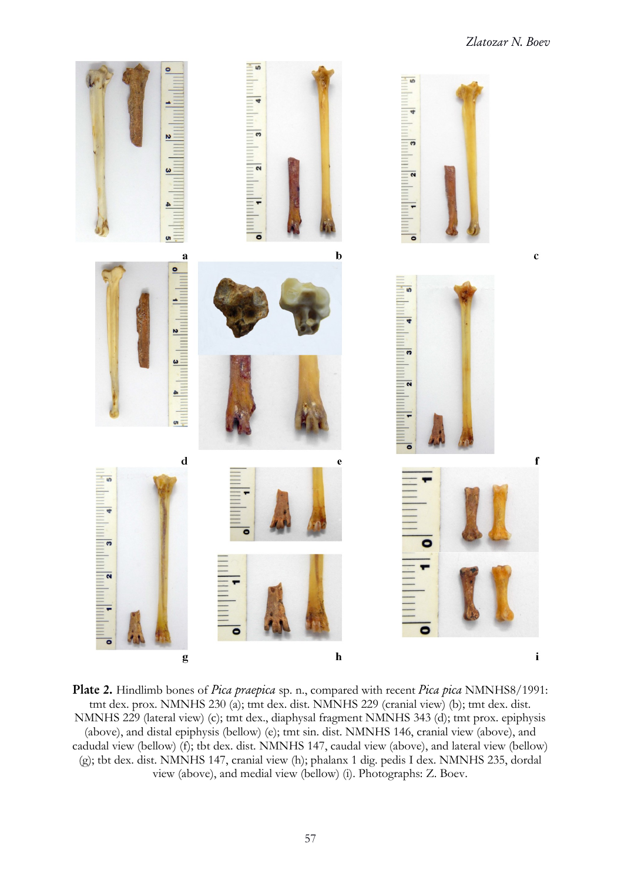

Plate 2. Hindlimb bones of Pica praepica sp. n., compared with recent Pica pica NMNHS8/1991: tmt dex. prox. NMNHS 230 (a); tmt dex. dist. NMNHS 229 (cranial view) (b); tmt dex. dist. NMNHS 229 (lateral view) (c); tmt dex., diaphysal fragment NMNHS 343 (d); tmt prox. epiphysis (above), and distal epiphysis (bellow) (e); tmt sin. dist. NMNHS 146, cranial view (above), and cadudal view (bellow) (f); tbt dex. dist. NMNHS 147, caudal view (above), and lateral view (bellow) (g); tbt dex. dist. NMNHS 147, cranial view (h); phalanx 1 dig. pedis I dex. NMNHS 235, dordal view (above), and medial view (bellow) (i). Photographs: Z. Boev.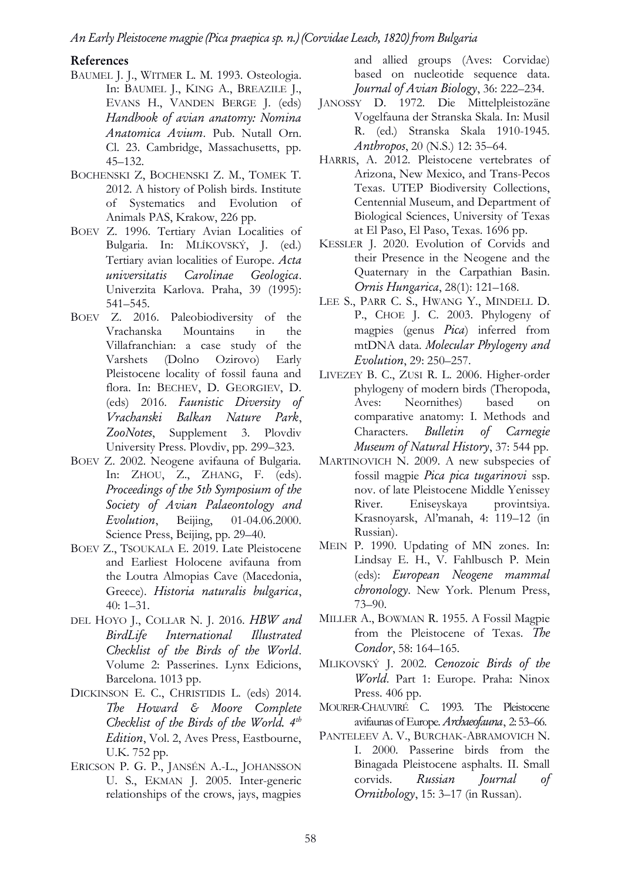#### References

- BAUMEL J. J., WITMER L. M. 1993. Osteologia. In: BAUMEL J., KING A., BREAZILE J., EVANS H., VANDEN BERGE J. (eds) Handbook of avian anatomy: Nomina Anatomica Avium. Pub. Nutall Orn. Cl. 23. Cambridge, Massachusetts, pp. 45–132.
- BOCHENSKI Z, BOCHENSKI Z. M., TOMEK T. 2012. A history of Polish birds. Institute of Systematics and Evolution of Animals PAS, Krakow, 226 pp.
- BOEV Z. 1996. Tertiary Avian Localities of Bulgaria. In: MLÍKOVSKÝ, J. (ed.) Tertiary avian localities of Europe. Acta universitatis Carolinae Geologica. Univerzita Karlova. Praha, 39 (1995): 541–545.
- BOEV Z. 2016. Paleobiodiversity of the Vrachanska Mountains in the Villafranchian: a case study of the Varshets (Dolno Ozirovo) Early Pleistocene locality of fossil fauna and flora. In: BECHEV, D. GEORGIEV, D. (eds) 2016. Faunistic Diversity of Vrachanski Balkan Nature Park, ZooNotes, Supplement 3. Plovdiv University Press. Plovdiv, pp. 299–323.
- BOEV Z. 2002. Neogene avifauna of Bulgaria. In: ZHOU, Z., ZHANG, F. (eds). Proceedings of the 5th Symposium of the Society of Avian Palaeontology and Evolution, Beijing, 01-04.06.2000. Science Press, Beijing, pp. 29–40.
- BOEV Z., TSOUKALA E. 2019. Late Pleistocene and Earliest Holocene avifauna from the Loutra Almopias Cave (Macedonia, Greece). Historia naturalis bulgarica, 40: 1–31.
- DEL HOYO J., COLLAR N. J. 2016. HBW and BirdLife International Illustrated Checklist of the Birds of the World. Volume 2: Passerines. Lynx Edicions, Barcelona. 1013 pp.
- DICKINSON E. C., CHRISTIDIS L. (eds) 2014. The Howard & Moore Complete Checklist of the Birds of the World.  $4<sup>th</sup>$ Edition, Vol. 2, Aves Press, Eastbourne, U.K. 752 pp.
- ERICSON P. G. P., JANSÉN A.-L., JOHANSSON U. S., EKMAN J. 2005. Inter-generic relationships of the crows, jays, magpies

and allied groups (Aves: Corvidae) based on nucleotide sequence data. Journal of Avian Biology, 36: 222–234.

- JANOSSY D. 1972. Die Mittelpleistozäne Vogelfauna der Stranska Skala. In: Musil R. (ed.) Stranska Skala 1910-1945. Anthropos, 20 (N.S.) 12: 35–64.
- HARRIS, A. 2012. Pleistocene vertebrates of Arizona, New Mexico, and Trans-Pecos Texas. UTEP Biodiversity Collections, Centennial Museum, and Department of Biological Sciences, University of Texas at El Paso, El Paso, Texas. 1696 pp.
- KESSLER J. 2020. Evolution of Corvids and their Presence in the Neogene and the Quaternary in the Carpathian Basin. Ornis Hungarica, 28(1): 121–168.
- LEE S., PARR C. S., HWANG Y., MINDELL D. P., CHOE J. C. 2003. Phylogeny of magpies (genus Pica) inferred from mtDNA data. Molecular Phylogeny and Evolution, 29: 250–257.
- LIVEZEY B. C., ZUSI R. L. 2006. Higher-order phylogeny of modern birds (Theropoda, Aves: Neornithes) based on comparative anatomy: I. Methods and Characters. Bulletin of Carnegie Museum of Natural History, 37: 544 pp.
- MARTINOVICH N. 2009. A new subspecies of fossil magpie Pica pica tugarinovi ssp. nov. of late Pleistocene Middle Yenissey River. Eniseyskaya provintsiya. Krasnoyarsk, Al'manah, 4: 119–12 (in Russian).
- MEIN P. 1990. Updating of MN zones. In: Lindsay E. H., V. Fahlbusch P. Mein (eds): European Neogene mammal chronology. New York. Plenum Press, 73–90.
- MILLER A., BOWMAN R. 1955. A Fossil Magpie from the Pleistocene of Texas. The Condor, 58: 164–165.
- MLIKOVSKÝ J. 2002. Cenozoic Birds of the World. Part 1: Europe. Praha: Ninox Press. 406 pp.
- MOURER-CHAUVIRÉ C. 1993. The Pleistocene avifaunas of Europe. Archaeofauna, 2: 53–66.
- PANTELEEV A. V., BURCHAK-ABRAMOVICH N. I. 2000. Passerine birds from the Binagada Pleistocene asphalts. II. Small corvids. Russian Journal of Ornithology, 15: 3–17 (in Russan).